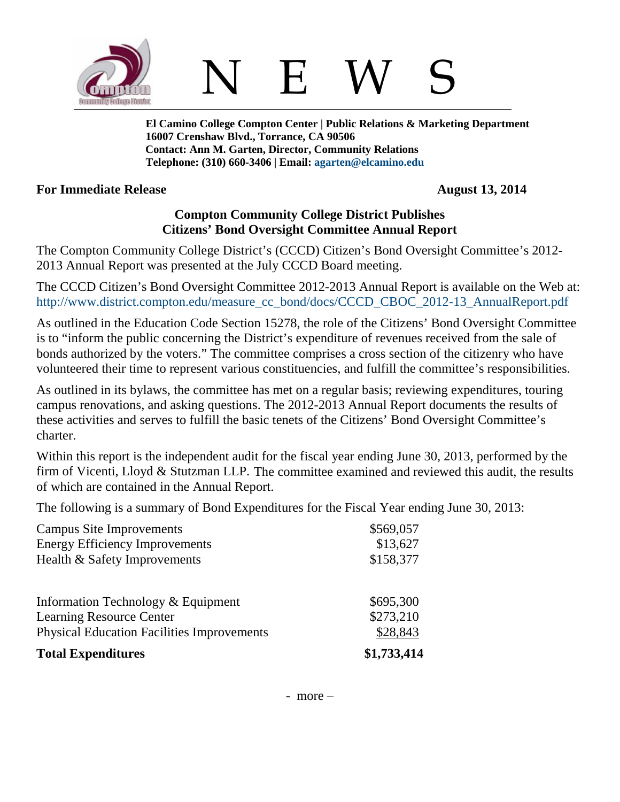

N E W S

**El Camino College Compton Center | Public Relations & Marketing Department 16007 Crenshaw Blvd., Torrance, CA 90506 Contact: Ann M. Garten, Director, Community Relations Telephone: (310) 660-3406 | Email: [agarten@elcamino.edu](mailto:agarten@elcamino.edu)** 

## **For Immediate Release August 13, 2014**

## **Compton Community College District Publishes Citizens' Bond Oversight Committee Annual Report**

The Compton Community College District's (CCCD) Citizen's Bond Oversight Committee's 2012- 2013 Annual Report was presented at the July CCCD Board meeting.

The CCCD Citizen's Bond Oversight Committee 2012-2013 Annual Report is available on the Web at: [http://www.district.compton.edu/measure\\_cc\\_bond/docs/CCCD\\_CBOC\\_2012-13\\_AnnualReport.pdf](http://www.district.compton.edu/measure_cc_bond/docs/CCCD_CBOC_2012-13_AnnualReport.pdf)

As outlined in the Education Code Section 15278, the role of the Citizens' Bond Oversight Committee is to "inform the public concerning the District's expenditure of revenues received from the sale of bonds authorized by the voters." The committee comprises a cross section of the citizenry who have volunteered their time to represent various constituencies, and fulfill the committee's responsibilities.

As outlined in its bylaws, the committee has met on a regular basis; reviewing expenditures, touring campus renovations, and asking questions. The 2012-2013 Annual Report documents the results of these activities and serves to fulfill the basic tenets of the Citizens' Bond Oversight Committee's charter.

Within this report is the independent audit for the fiscal year ending June 30, 2013, performed by the firm of Vicenti, Lloyd & Stutzman LLP. The committee examined and reviewed this audit, the results of which are contained in the Annual Report.

The following is a summary of Bond Expenditures for the Fiscal Year ending June 30, 2013:

| <b>Campus Site Improvements</b>                                       | \$569,057              |
|-----------------------------------------------------------------------|------------------------|
| <b>Energy Efficiency Improvements</b>                                 | \$13,627               |
| Health & Safety Improvements                                          | \$158,377              |
| Information Technology & Equipment<br><b>Learning Resource Center</b> | \$695,300<br>\$273,210 |
| <b>Physical Education Facilities Improvements</b>                     | \$28,843               |
| <b>Total Expenditures</b>                                             | \$1,733,414            |